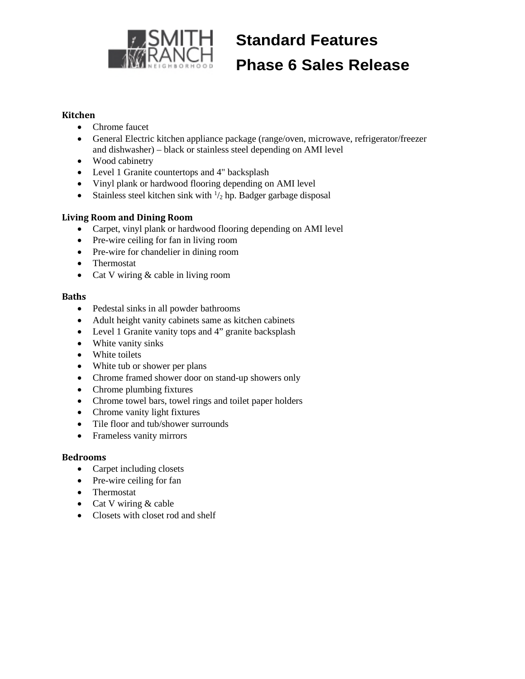

# **Standard Features Phase 6 Sales Release**

#### **Kitchen**

- Chrome faucet
- General Electric kitchen appliance package (range/oven, microwave, refrigerator/freezer and dishwasher) – black or stainless steel depending on AMI level
- Wood cabinetry
- Level 1 Granite countertops and 4" backsplash
- Vinyl plank or hardwood flooring depending on AMI level
- Stainless steel kitchen sink with  $\frac{1}{2}$  hp. Badger garbage disposal

#### **Living Room and Dining Room**

- Carpet, vinyl plank or hardwood flooring depending on AMI level
- Pre-wire ceiling for fan in living room
- Pre-wire for chandelier in dining room
- Thermostat
- Cat V wiring & cable in living room

#### **Baths**

- Pedestal sinks in all powder bathrooms
- Adult height vanity cabinets same as kitchen cabinets
- Level 1 Granite vanity tops and 4" granite backsplash
- White vanity sinks
- White toilets
- White tub or shower per plans
- Chrome framed shower door on stand-up showers only
- Chrome plumbing fixtures
- Chrome towel bars, towel rings and toilet paper holders
- Chrome vanity light fixtures
- Tile floor and tub/shower surrounds
- Frameless vanity mirrors

#### **Bedrooms**

- Carpet including closets
- Pre-wire ceiling for fan
- Thermostat
- Cat V wiring  $&$  cable
- Closets with closet rod and shelf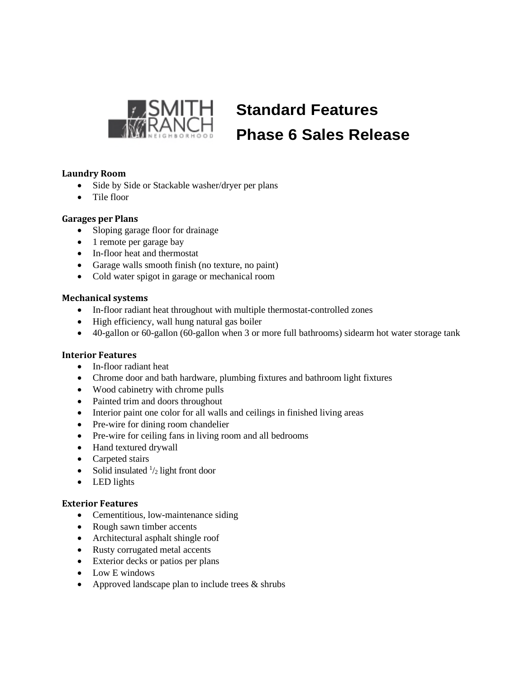

# **Standard Features Phase 6 Sales Release**

### **Laundry Room**

- Side by Side or Stackable washer/dryer per plans
- Tile floor

#### **Garages per Plans**

- Sloping garage floor for drainage
- 1 remote per garage bay
- In-floor heat and thermostat
- Garage walls smooth finish (no texture, no paint)
- Cold water spigot in garage or mechanical room

#### **Mechanical systems**

- In-floor radiant heat throughout with multiple thermostat-controlled zones
- High efficiency, wall hung natural gas boiler
- 40-gallon or 60-gallon (60-gallon when 3 or more full bathrooms) sidearm hot water storage tank

#### **Interior Features**

- In-floor radiant heat
- Chrome door and bath hardware, plumbing fixtures and bathroom light fixtures
- Wood cabinetry with chrome pulls
- Painted trim and doors throughout
- Interior paint one color for all walls and ceilings in finished living areas
- Pre-wire for dining room chandelier
- Pre-wire for ceiling fans in living room and all bedrooms
- Hand textured drywall
- Carpeted stairs
- Solid insulated  $\frac{1}{2}$  light front door
- LED lights

#### **Exterior Features**

- Cementitious, low-maintenance siding
- Rough sawn timber accents
- Architectural asphalt shingle roof
- Rusty corrugated metal accents
- Exterior decks or patios per plans
- Low E windows
- Approved landscape plan to include trees  $&$  shrubs